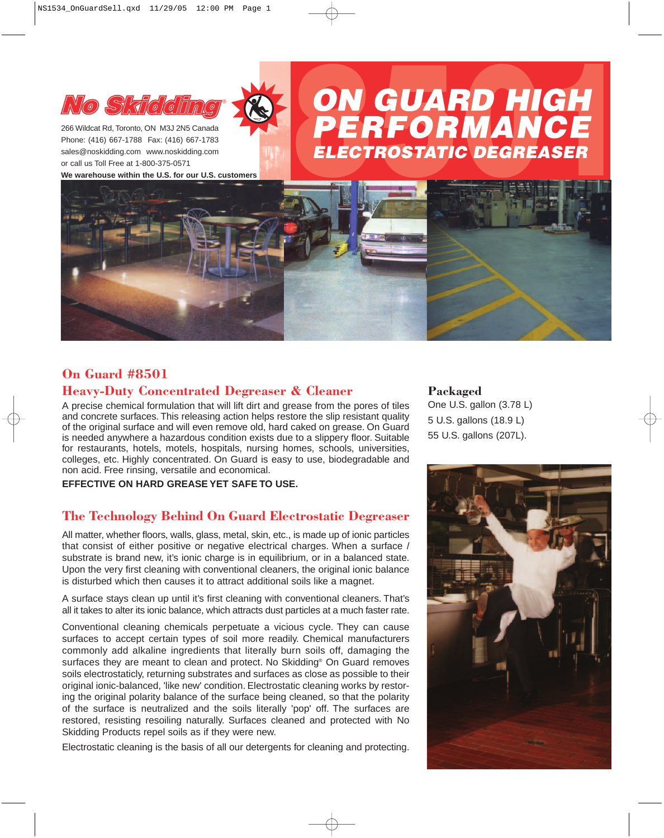

266 Wildcat Rd, Toronto, ON M3J 2N5 Canada Phone: (416) 667-1788 Fax: (416) 667-1783 sales@noskidding.com www.noskidding.com **We warehouse within the U.S. for our U.S. customers**

# **NO SKIGLING STRIGHT SER PERFORMANCE**



# **On Guard #8501**

## **Heavy-Duty Concentrated Degreaser & Cleaner**

A precise chemical formulation that will lift dirt and grease from the pores of tiles and concrete surfaces. This releasing action helps restore the slip resistant quality of the original surface and will even remove old, hard caked on grease. On Guard is needed anywhere a hazardous condition exists due to a slippery floor. Suitable for restaurants, hotels, motels, hospitals, nursing homes, schools, universities, colleges, etc. Highly concentrated. On Guard is easy to use, biodegradable and non acid. Free rinsing, versatile and economical.

**EFFECTIVE ON HARD GREASE YET SAFE TO USE.**

## **The Technology Behind On Guard Electrostatic Degreaser**

All matter, whether floors, walls, glass, metal, skin, etc., is made up of ionic particles that consist of either positive or negative electrical charges. When a surface / substrate is brand new, it's ionic charge is in equilibrium, or in a balanced state. Upon the very first cleaning with conventional cleaners, the original ionic balance is disturbed which then causes it to attract additional soils like a magnet.

A surface stays clean up until it's first cleaning with conventional cleaners. That's all it takes to alter its ionic balance, which attracts dust particles at a much faster rate.

Conventional cleaning chemicals perpetuate a vicious cycle. They can cause surfaces to accept certain types of soil more readily. Chemical manufacturers commonly add alkaline ingredients that literally burn soils off, damaging the surfaces they are meant to clean and protect. No Skidding® On Guard removes soils electrostaticly, returning substrates and surfaces as close as possible to their original ionic-balanced, 'like new' condition. Electrostatic cleaning works by restoring the original polarity balance of the surface being cleaned, so that the polarity of the surface is neutralized and the soils literally 'pop' off. The surfaces are restored, resisting resoiling naturally. Surfaces cleaned and protected with No Skidding Products repel soils as if they were new.

Electrostatic cleaning is the basis of all our detergents for cleaning and protecting.

## **Packaged**

One U.S. gallon (3.78 L) 5 U.S. gallons (18.9 L) 55 U.S. gallons (207L).